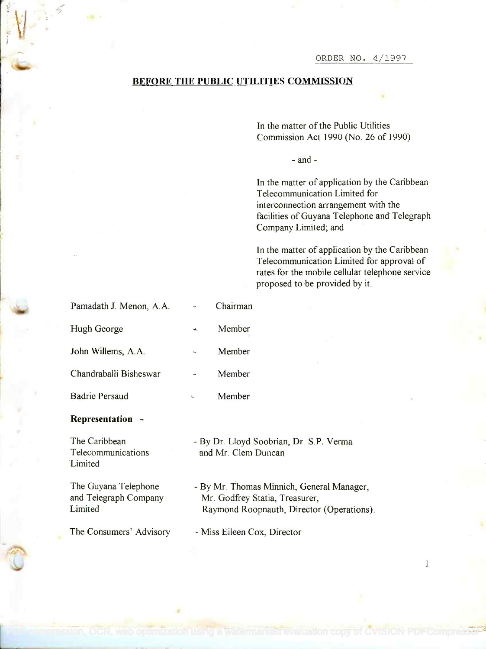ORDER NO. 4/1997

## BEFORE THE PUBLIC UTILITIES COMMISSION

In the matter of the Public Utilities In the matter of the Public Utilities Commission Act 1990 (No. 26 of 1990) Commission Act 1990 (No. 26 of 1990)

- and -

In the matter of application by the Caribbean In the matter of application by the Caribbean Telecommunication Limited for Telecommunication Limited for interconnection arrangement with the interconnection arrangement with the facilities of Guyana Telephone and Telegraph facilities of Guyana Telephone and Telegraph Company Limited; and Company Limited; and

In the matter of application by the Caribbean In the matter of application by the Caribbean Telecommunication Limited for approval of Telecommunication Limited for approval of rates for the mobile cellular telephone service proposed to be provided by it. proposed to be provided by it.

 $\mathbf{1}$ 

| Pamadath J. Menon, A.A. |            | Chairman                 |  |
|-------------------------|------------|--------------------------|--|
| Hugh George             | $\log_{1}$ | Member                   |  |
| John Willems, A.A.      |            | Member                   |  |
| Chandraballi Bisheswar  |            | Member                   |  |
| <b>Badrie Persaud</b>   |            | Member                   |  |
| Representation          |            |                          |  |
| The Caribbean           |            | - By Dr. Lloyd Soobrian, |  |

Telecommunications Telecommunications Limited Limited

**}** 

**in the contract of the contract of the contract of the contract of the contract of the contract of the contract of the contract of the contract of the contract of the contract of the contract of the contract of the contra** 

The Guyana Telephone The Guyana Telephone and Telegraph Company and Telegraph Company Limited Limited

The Consumers' Advisory

- By Dr. Lloyd Soobrian, Dr. S.P. Verma - By Dr. Lloyd Soobrian, Dr. S.P. Verma and Mr. Clem Duncan and Mr. Clem Duncan

- By Mr. Thomas Minnich, General Manager, - By Mr. Thomas Minnich, General Manager, Mr. Godfrey Statia, Treasurer, Mr. Godfrey Statia, Treasurer, Raymond Roopnauth, Director (Operations). Raymond Roopnauth, Director (Operations).

Miss Eileen Cox, Director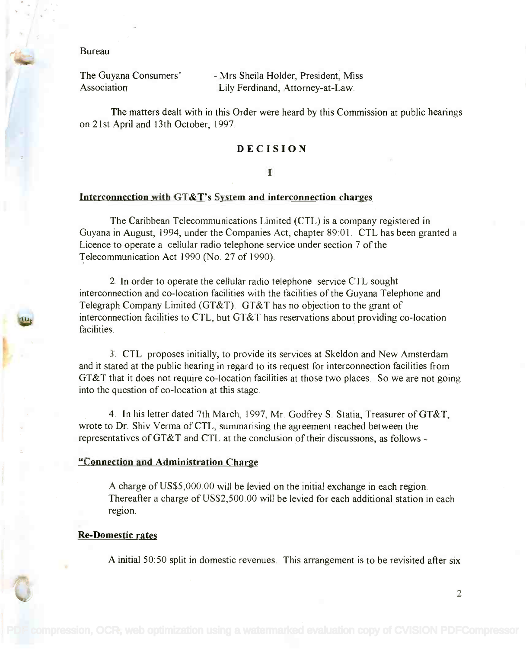Bureau

The Guyana Consumers' Association

The Guyana Consumers' and Mrs Sheila Holder, President, Miss Association Lily Ferdinand, Attorney-at-Law. Lily Ferdinand, Attorney-at-Law.

The matters dealt with in this Order were heard by this Commission at public hearings The matters dealt with in this Order were heard by this Commission at public hearings on 21st April and 13th October, 1997. on 21 st April and 13th October, 1997.

# DECISION

#### I

#### Interconnection with GT&T's System and interconnection charges

The Caribbean Telecommunications Limited (CTL) is a company registered in The Caribbean Telecommunications Limited (CTL) is a company registered in Guyana in August, 1994, under the Companies Act, chapter 89:01. CTL has been granted a Guyana in August, 1994, under the Companies Act, chapter 89:01. CTL has been granted a Licence to operate a cellular radio telephone service under section 7 of the Licence to operate a cellular radio telephone service under section 7 of the Telecommunication Act 1990 (No. 27 of 1990).

2. In order to operate the cellular radio telephone service CTL sought 2. In order to operate the cellular radio telephone service CTL sought interconnection and co-location facilities with the facilities of the Guyana Telephone and interconnection and co-location facilities with the facilities of the Guyana Telephone and Telegraph Company Limited (GT&T). GT&T has no objection to the grant of Telegraph Company Limited (GT&T). GT&T has no objection to the grant of interconnection facilities to CTL, but GT&T has reservations about providing co-location interconnection facilities to CTL, but GT&T has reservations about providing co-location facilities. facilities.

3. CTL proposes initially, to provide its services at Skeldon and New Amsterdam 3. CTL proposes initially, to provide its services at Ske1don and New Amsterdam and it stated at the public hearing in regard to its request for interconnection facilities from and it stated at the public hearing in regard to its request for interconnection facilities from GT&T that it does not require co-location facilities at those two places. So we are not going GT&T that it does not require co-location facilities at those two places. So we are not going into the question of co-location at this stage. into the question of co-location at this stage.

4. In his letter dated 7th March, 1997, Mr. Godfrey S. Statia, Treasurer of GT&T, 4. In his letter dated 7th March, 1997, Mr. Godfrey S. Statia, Treasurer ofGT&T, wrote to Dr. Shiv Verma of CTL, summarising the agreement reached between the representatives of GT&T and CTL at the conclusion of their discussions, as follows representatives of GT&T and CTL at the conclusion of their discussions, as follows -

#### "Connection and Administration Charge

A charge of US\$5,000.00 will be levied on the initial exchange in each region. Thereafter a charge of US\$2,500.00 will be levied for each additional station in each region.

#### Re-Domestic rates

A initial 50:50 split in domestic revenues. This arrangement is to be revisited after six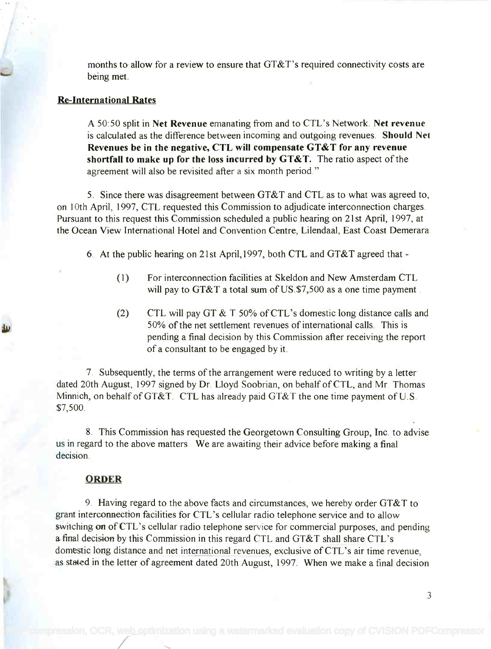months to allow for a review to ensure that GT&T's required connectivity costs are months to allow for a review to ensure that GT&T's required connectivity costs are being met. being met.

### Re-International Rates

A 50:50 split in Net Revenue emanating from and to CTL's Network. Net revenue A 50:50 split in **Net Revenue** emanating from and to CTL's Network. **Net revenue** is calculated as the difference between incoming and outgoing revenues. Should Net is calculated as the difference between incoming and outgoing revenues. **Should Net** Revenues be in the negative, CTL will compensate GT&T for any revenue **Revenues be in the negative, CTL will compensate GT&T for any revenue** shortfall to make up for the loss incurred by GT&T. The ratio aspect of the **shortfall to make up for the loss incurred by GT&T.** The ratio aspect of the agreement will also be revisited after a six month period." agreement will also be revisited after a six month period."

5. Since there was disagreement between GT&T and CTL as to what was agreed to, 5. Since there was disagreement between GT&T and CTL as to what was agreed to, on 10th April, 1997, CTL requested this Commission to adjudicate interconnection charges. on 10th April, 1997, CTL requested this Commission to adjudicate interconnection charges. Pursuant to this request this Commission scheduled a public hearing on 21st April, 1997, at Pursuant to this request this Commission scheduled a public hearing on 21 st April, 1997, at the Ocean View International Hotel and Convention Centre, Lilendaal, East Coast Demerara. the Ocean View International Hotel and Convention Centre, Lilendaal, East Coast Demerara.

6. At the public hearing on 21st Apri1,1997, both CTL and GT&T agreed that -

- (1) For interconnection facilities at Skeldon and New Amsterdam CTL (1) For interconnection facilities at Skeldon and New Amsterdam CTL will pay to GT&T a total sum of US.\$7,500 as a one time payment.
- (2) CTL will pay GT & T 50% of CTL's domestic long distance calls and CTL will pay GT & T 50% ofCTL's domestic long distance calls and 50% of the net settlement revenues of international calls. This is 50% of the net settlement revenues of international calls. This is pending a final decision by this Commission after receiving the report pending a final decision by this Commission after receiving the report of a consultant to be engaged by it. of a consultant to be engaged by it.

7. Subsequently, the terms of the arrangement were reduced to writing by a letter 7. Subsequently, the terms of the arrangement were reduced to writing by a letter dated 20th August, 1997 signed by Dr. Lloyd Soobrian, on behalf of CTL, and Mr. Thomas dated 20th August, 1997 signed by Dr. Lloyd Soobrian, on behalf of CTL, and Mr. Thomas Minnich, on behalf of GT&T. CTL has already paid GT&T the one time payment of U.S. Minnich, on behalf of GT&T. CTL has already paid GT&T the one time payment of U. S. \$7,500. \$7,500.

8. This Commission has requested the Georgetown Consulting Group, Inc. to advise 8. This Commission has requested the Georgetown Consulting Group, Inc. to advise us in regard to the above matters. We are awaiting their advice before making a final us in regard to the above matters We are awaiting their advice before making a final decision. decision.

### ORDER

9. Having regard to the above facts and circumstances, we hereby order GT&T to 9. Having regard to the above facts and circumstances, we hereby order GT&T to grant interconnection facilities for CTL's cellular radio telephone service and to allow grant interconnection facilities for CTL's cellular radio telephone service and to allow switching on of CTL's cellular radio telephone service for commercial purposes, and pending a final decision by this Commission in this regard CTL and GT&T shall share CTL's domestic long distance and net international revenues, exclusive of CTL's air time revenue, domestic long distance and net international revenues, exclusive of CTL' s air time revenue, as stated in the letter of agreement dated 20th August, 1997. When we make a final decision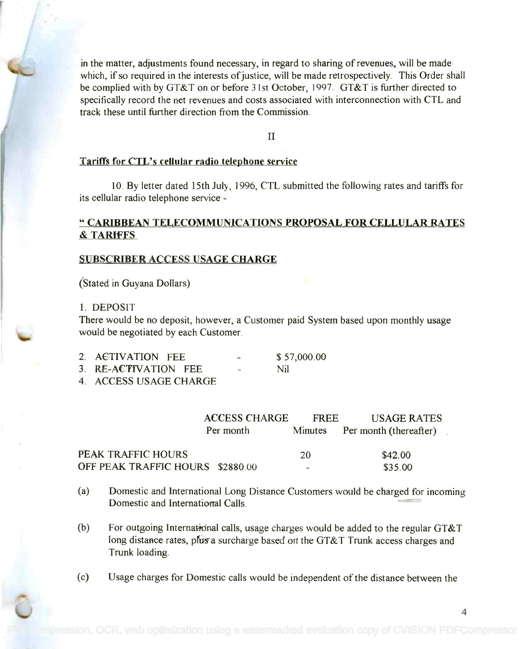in the matter, adjustments found necessary, in regard to sharing of revenues, will be made in the matter, adjustments found necessary, in regard to sharing of revenues, will be made which, if so required in the interests of justice, will be made retrospectively. This Order shall which, if so required in the interests of justice, will be made retrospectively. This Order shall be complied with by GT&T on or before 31st October, 1997. GT&T is further directed to be complied with by GT&T on or before 31st October, 1997. GT&T is further directed to specifically record the net revenues and costs associated with interconnection with CTL and specifically record the net revenues and costs associated with interconnection with CTL and track these until further direction from the Commission. track these until further direction from the Commission.

 $\mathbf{H}$ 

#### Tariffs for CTL's cellular radio telephone service

10. By letter dated 15th July, 1996, CTL submitted the following rates and tariffs for 10. By letter dated 15th July, 1996, CTL submitted the following rates and tariffs for its cellular radio telephone service -

# " CARIBBEAN TELECOMMUNICATIONS PROPOSAL FOR CELLULAR RATES **" CARIBBEAN TELECOMMUNICATIONS PROPOSAL FOR CELLULAR RATES** & TARIFFS **& TARIFFS**

### SUBSCRIBER ACCESS USAGE CHARGE

(Stated in Guyana Dollars) (Stated in Guyana Dollars)

## 1. DEPOSIT 1. DEPOSIT

There would be no deposit, however, a Customer paid System based upon monthly usage There would be no deposit, however, a Customer paid System based upon monthly usage would be negotiated by each Customer. would be negotiated by each Customer.

| 2. ACTIVATION FEE                       | \$57,000.00 |  |
|-----------------------------------------|-------------|--|
| 3. RE-ACTIVATION FEE                    | Nil         |  |
| $A = A C C C C C T C A C C C T A D C C$ |             |  |

4. ACCESS USAGE CHARGE 4. ACCESS USAGE CHARGE

|                                  | <b>ACCESS CHARGE</b> | FREE           | <b>USAGE RATES</b>             |  |
|----------------------------------|----------------------|----------------|--------------------------------|--|
|                                  | Per month            |                | Minutes Per month (thereafter) |  |
| PEAK TRAFFIC HOURS               |                      | 20             | \$42.00                        |  |
| OFF PEAK TRAFFIC HOURS \$2880.00 |                      | <b>Section</b> | \$35.00                        |  |

- (a) Domestic and International Long Distance Customers would be charged for incoming (a) Domestic and International Long Distance Customers would be charged for incoming Domestic and International Calls. Domestic and International Calls. -
- (b) For outgoing International calls, usage charges would be added to the regular GT&T long distance rates, plus a surcharge based on the GT&T Trunk access charges and Trunk loading. Trunk loading.
- (c) Usage charges for Domestic calls would be independent of the distance between the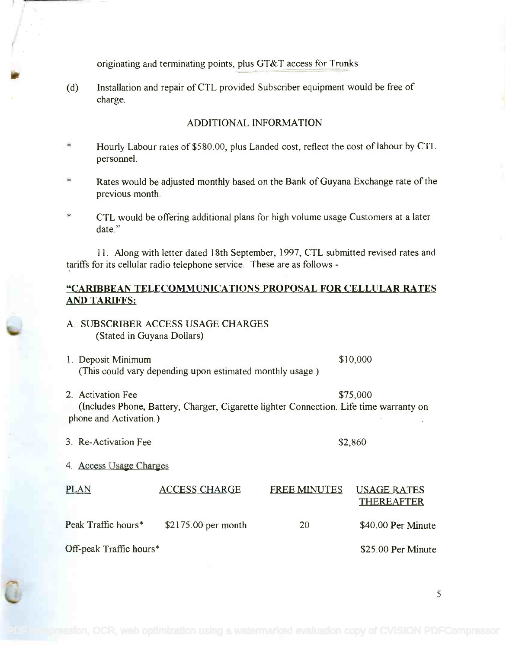originating and terminating points, plus GT&T access for Trunks.

(d) Installation and repair of CTL provided Subscriber equipment would be free of (d) Installation and repair of CTL provided Subscriber equipment would be free of charge. charge.

## ADDITIONAL INFORMATION

- Hourly Labour rates of \$580.00, plus Landed cost, reflect the cost of labour by CTL Hourly Labour rates of\$580.00, plus Landed cost, reflect the cost oflabour by CTL personnel. personnel.
- Rates would be adjusted monthly based on the Bank of Guyana Exchange rate of the Rates would be adjusted monthly based on the Bank of Guyana Exchange rate of the previous month. previous month.
- $\ast$ CTL would be offering additional plans for high volume usage Customers at a later CTL would be offering additional plans for high volume usage Customers at a later date."

11. Along with letter dated 18th September, 1997, CTL submitted revised rates and II. *Along* with letter dated 18th September, 1997, CTL submitted revised rates and tariffs for its cellular radio telephone service. These are as follows -

# "CARIBBEAN TELECOMMUNICATIONS PROPOSAL FOR CELLULAR RATES **"CARIBBEAN TELECOMMUNICATIONS PROPOSAL FOR CELLULAR RATES** AND TARIFFS: **AND TARIFFS:**

- A. SUBSCRIBER ACCESS USAGE CHARGES A. SUBSCRIBER ACCESS USAGE CHARGES (Stated in Guyana Dollars) (Stated in Guyana Dollars)
- 1. Deposit Minimum and the state of the state of the state  $$10,000$ (This could vary depending upon estimated monthly usage.) (This could vary depending upon estimated monthly usage.)
- 2. Activation Fee  $$75,000$ (Includes Phone, Battery, Charger, Cigarette lighter Connection. Life time warranty on (Includes Phone, Battery, Charger, Cigarette lighter Connection. Life time warranty on phone and Activation.) phone and Activation.)
- 3. Re-Activation Fee  $$2,860$

ite werd in the second control of the second control of the second control of the second control of the second control of the second control of the second control of the second control of the second control of the second c

4. Access Usage Charges

| PLAN                    | <b>ACCESS CHARGE</b> | <b>FREE MINUTES</b> | <b>USAGE RATES</b><br><b>THEREAFTER</b> |
|-------------------------|----------------------|---------------------|-----------------------------------------|
| Peak Traffic hours*     | $$2175.00$ per month | 20                  | \$40.00 Per Minute                      |
| Off-peak Traffic hours* |                      |                     | \$25.00 Per Minute                      |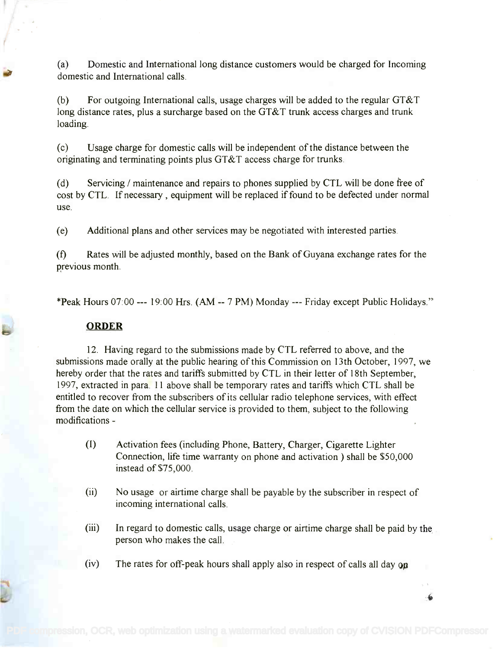(a) Domestic and International long distance customers would be charged for Incoming (a) Domestic and International long distance customers would be charged for Incoming domestic and International calls. domestic and International calls.

(b) For outgoing International calls, usage charges will be added to the regular GT&T (b) For outgoing International calls, usage charges will be added to the regular GT&T long distance rates, plus a surcharge based on the GT&T trunk access charges and trunk long distance rates, plus a surcharge based on the GT&T trunk access charges and trunk loading. loading.

(c) Usage charge for domestic calls will be independent of the distance between the (c) Usage charge for domestic calls will be independent of the distance between the originating and terminating points plus GT&T access charge for trunks. originating and terminating points plus GT&T access charge for trunks.

(d) Servicing / maintenance and repairs to phones supplied by CTL will be done free of cost by CTL. If necessary , equipment will be replaced if found to be defected under normal cost by CTL. If necessary, equipment will be replaced if found to be defected under normal use. use.

(e) Additional plans and other services may be negotiated with interested parties.

(f) Rates will be adjusted monthly, based on the Bank of Guyana exchange rates for the (t) Rates will be adjusted monthly, based on the Bank of Guyana exchange rates for the previous month.

\*Peak Hours 07:00 --- 19:00 Hrs. (AM -- 7 PM) Monday --- Friday except Public Holidays."

## ORDER

12. Having regard to the submissions made by CTL referred to above, and the 12. Having regard to the submissions made by CTL referred to above, and the submissions made orally at the public hearing of this Commission on 13th October, 1997, we submissions made orally at the public hearing of this Commission on 13th October, 1997, we hereby order that the rates and tariffs submitted by CTL in their letter of 18th September, hereby order that the rates and tariffs submitted by CTL in their letter of 18th September, 1997, extracted in para. 11 above shall be temporary rates and tariffs which CTL shall be 1997, extracted in para. 11 above shall be temporary rates and tariffs which CTL shall be entitled to recover from the subscribers of its cellular radio telephone services, with effect from the date on which the cellular service is provided to them, subject to the following from the date on which the cellular service is provided to them, subject to the following modifications - modifications -

- (I) Activation fees (including Phone, Battery, Charger, Cigarette Lighter (I) Activation fees (including Phone, Battery, Charger, Cigarette Lighter Connection, life time warranty on phone and activation ) shall be \$50,000 Connection, life time warranty on phone and activation) shall be \$50,000 instead of \$75,000. instead of\$75,000.
- (ii) No usage or airtime charge shall be payable by the subscriber in respect of (ii) No usage or airtime charge shall be payable by the subscriber in respect of incoming international calls. incoming international calls.
- (iii) In regard to domestic calls, usage charge or airtime charge shall be paid by the person who makes the call. person who makes the call.

 $\ddot{\bullet}$ 

(iv) The rates for off-peak hours shall apply also in respect of calls all day  $\alpha$